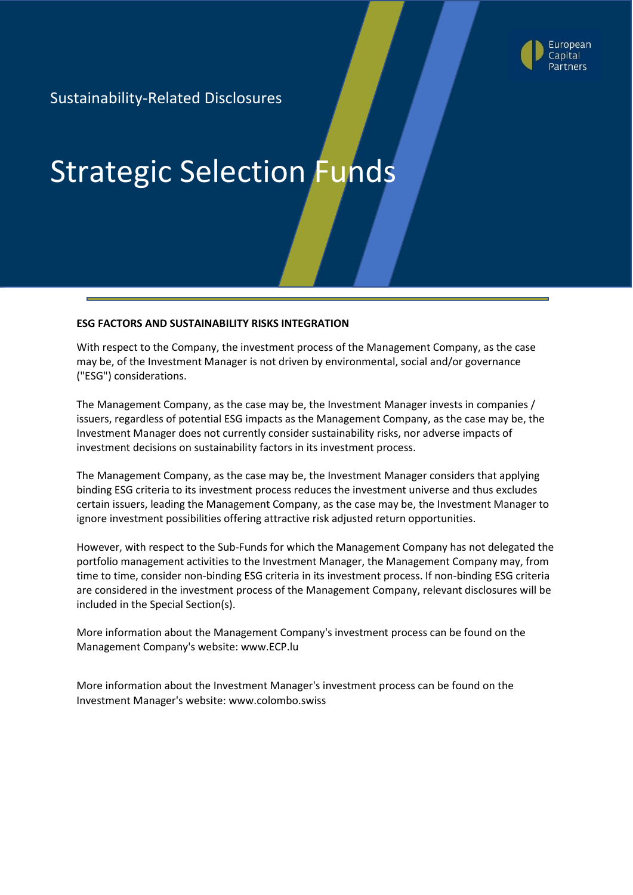

Sustainability-Related Disclosures

# Strategic Selection Funds

#### **ESG FACTORS AND SUSTAINABILITY RISKS INTEGRATION**

With respect to the Company, the investment process of the Management Company, as the case may be, of the Investment Manager is not driven by environmental, social and/or governance ("ESG") considerations.

The Management Company, as the case may be, the Investment Manager invests in companies / issuers, regardless of potential ESG impacts as the Management Company, as the case may be, the Investment Manager does not currently consider sustainability risks, nor adverse impacts of investment decisions on sustainability factors in its investment process.

The Management Company, as the case may be, the Investment Manager considers that applying binding ESG criteria to its investment process reduces the investment universe and thus excludes certain issuers, leading the Management Company, as the case may be, the Investment Manager to ignore investment possibilities offering attractive risk adjusted return opportunities.

However, with respect to the Sub-Funds for which the Management Company has not delegated the portfolio management activities to the Investment Manager, the Management Company may, from time to time, consider non-binding ESG criteria in its investment process. If non-binding ESG criteria are considered in the investment process of the Management Company, relevant disclosures will be included in the Special Section(s).

More information about the Management Company's investment process can be found on the Management Company's website: www.ECP.lu

More information about the Investment Manager's investment process can be found on the Investment Manager's website: www.colombo.swiss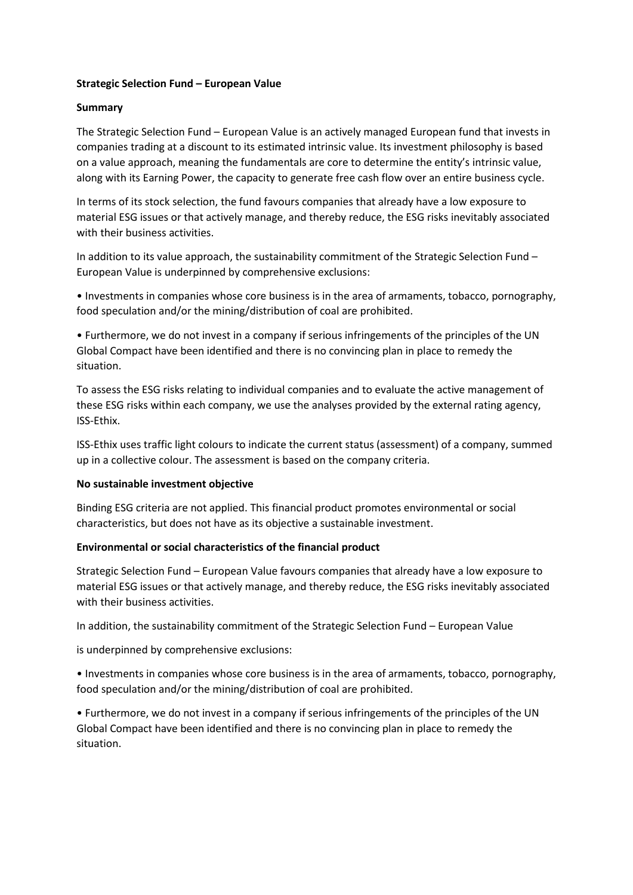## **Strategic Selection Fund – European Value**

## **Summary**

The Strategic Selection Fund – European Value is an actively managed European fund that invests in companies trading at a discount to its estimated intrinsic value. Its investment philosophy is based on a value approach, meaning the fundamentals are core to determine the entity's intrinsic value, along with its Earning Power, the capacity to generate free cash flow over an entire business cycle.

In terms of its stock selection, the fund favours companies that already have a low exposure to material ESG issues or that actively manage, and thereby reduce, the ESG risks inevitably associated with their business activities.

In addition to its value approach, the sustainability commitment of the Strategic Selection Fund – European Value is underpinned by comprehensive exclusions:

• Investments in companies whose core business is in the area of armaments, tobacco, pornography, food speculation and/or the mining/distribution of coal are prohibited.

• Furthermore, we do not invest in a company if serious infringements of the principles of the UN Global Compact have been identified and there is no convincing plan in place to remedy the situation.

To assess the ESG risks relating to individual companies and to evaluate the active management of these ESG risks within each company, we use the analyses provided by the external rating agency, ISS-Ethix.

ISS-Ethix uses traffic light colours to indicate the current status (assessment) of a company, summed up in a collective colour. The assessment is based on the company criteria.

## **No sustainable investment objective**

Binding ESG criteria are not applied. This financial product promotes environmental or social characteristics, but does not have as its objective a sustainable investment.

## **Environmental or social characteristics of the financial product**

Strategic Selection Fund – European Value favours companies that already have a low exposure to material ESG issues or that actively manage, and thereby reduce, the ESG risks inevitably associated with their business activities.

In addition, the sustainability commitment of the Strategic Selection Fund – European Value

is underpinned by comprehensive exclusions:

• Investments in companies whose core business is in the area of armaments, tobacco, pornography, food speculation and/or the mining/distribution of coal are prohibited.

• Furthermore, we do not invest in a company if serious infringements of the principles of the UN Global Compact have been identified and there is no convincing plan in place to remedy the situation.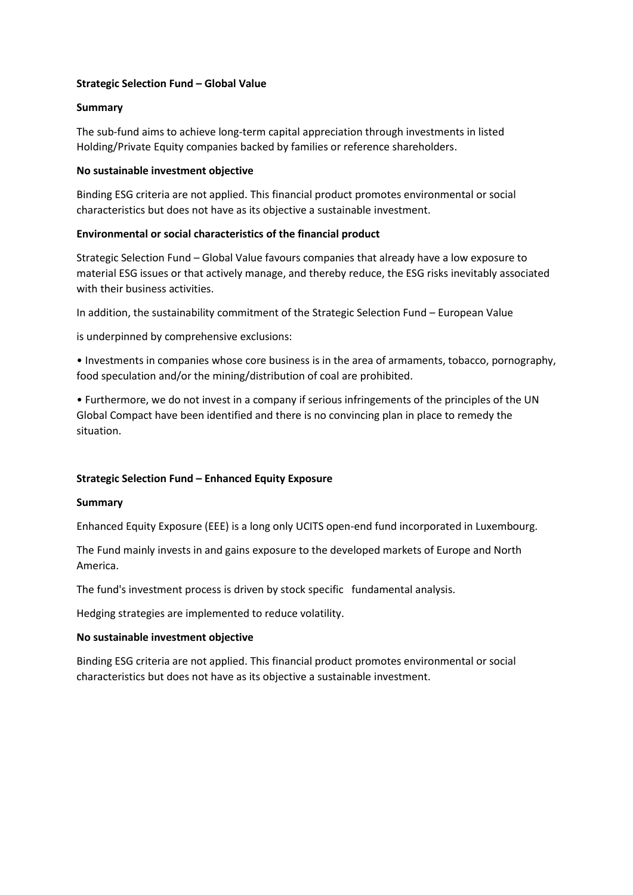## **Strategic Selection Fund – Global Value**

## **Summary**

The sub-fund aims to achieve long-term capital appreciation through investments in listed Holding/Private Equity companies backed by families or reference shareholders.

## **No sustainable investment objective**

Binding ESG criteria are not applied. This financial product promotes environmental or social characteristics but does not have as its objective a sustainable investment.

# **Environmental or social characteristics of the financial product**

Strategic Selection Fund – Global Value favours companies that already have a low exposure to material ESG issues or that actively manage, and thereby reduce, the ESG risks inevitably associated with their business activities.

In addition, the sustainability commitment of the Strategic Selection Fund – European Value

is underpinned by comprehensive exclusions:

• Investments in companies whose core business is in the area of armaments, tobacco, pornography, food speculation and/or the mining/distribution of coal are prohibited.

• Furthermore, we do not invest in a company if serious infringements of the principles of the UN Global Compact have been identified and there is no convincing plan in place to remedy the situation.

# **Strategic Selection Fund – Enhanced Equity Exposure**

## **Summary**

Enhanced Equity Exposure (EEE) is a long only UCITS open-end fund incorporated in Luxembourg.

The Fund mainly invests in and gains exposure to the developed markets of Europe and North America.

The fund's investment process is driven by stock specific fundamental analysis.

Hedging strategies are implemented to reduce volatility.

## **No sustainable investment objective**

Binding ESG criteria are not applied. This financial product promotes environmental or social characteristics but does not have as its objective a sustainable investment.